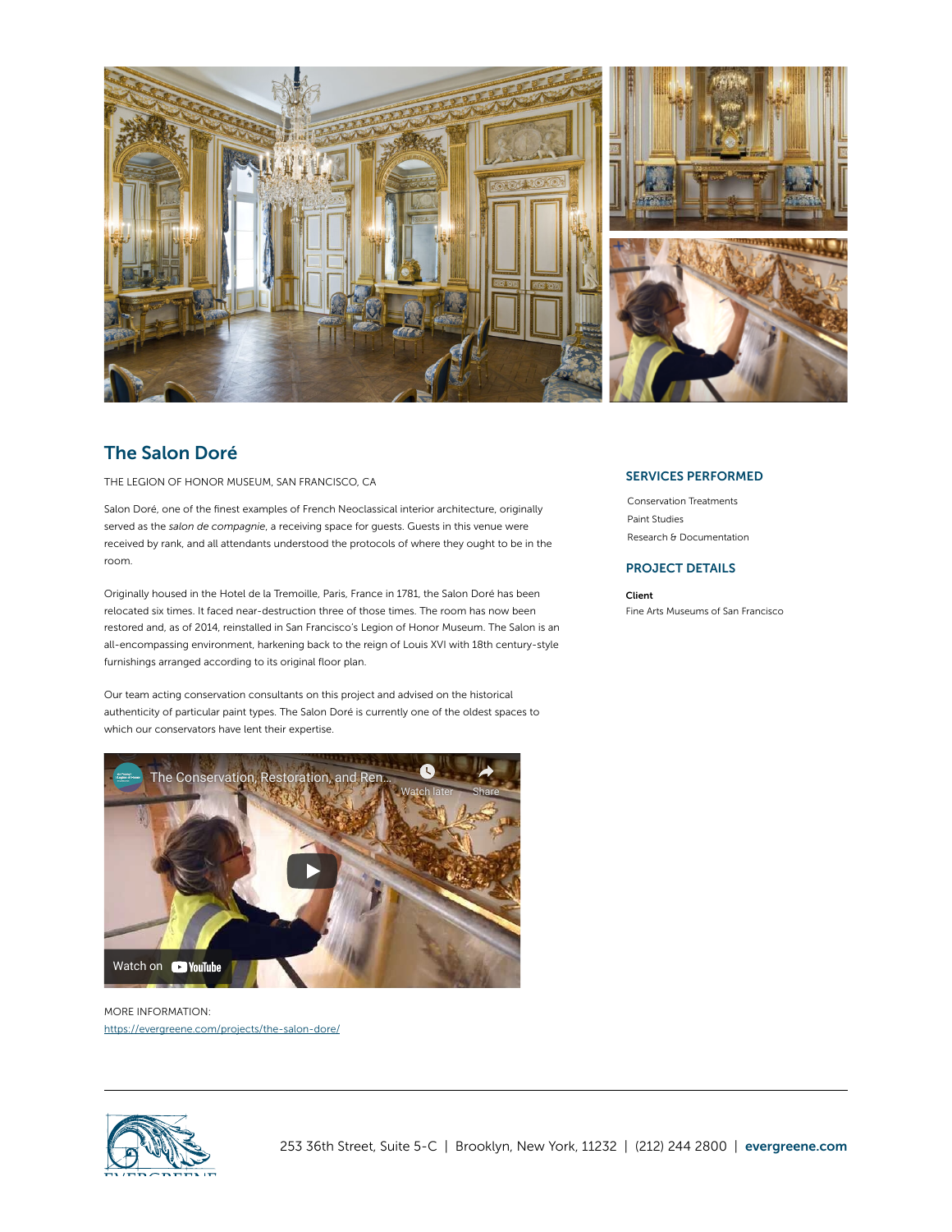

## The Salon Doré

THE LEGION OF HONOR MUSEUM, SAN FRANCISCO, CA

Salon Doré, one of the finest examples of French Neoclassical interior architecture, originally served as the *salon de compagnie*, a receiving space for guests. Guests in this venue were received by rank, and all attendants understood the protocols of where they ought to be in the room.

Originally housed in the Hotel de la Tremoille, Paris, France in 1781, the Salon Doré has been relocated six times. It faced near-destruction three of those times. The room has now been restored and, as of 2014, reinstalled in San Francisco's Legion of Honor Museum. The Salon is an all-encompassing environment, harkening back to the reign of Louis XVI with 18th century-style furnishings arranged according to its original floor plan.

Our team acting conservation consultants on this project and advised on the historical authenticity of particular paint types. The Salon Doré is currently one of the oldest spaces to which our conservators have lent their expertise.



MORE INFORMATION: https://evergreene.com/projects/the-salon-dore/

## SERVICES PERFORMED

[Conservation](https://evergreene.com/projects/the-salon-dore/?pdf=true) Treatments Paint [Studies](https://evergreene.com/projects/the-salon-dore/?pdf=true) Research & [Documentation](https://evergreene.com/projects/the-salon-dore/?pdf=true)

## PROJECT DETAILS

## Client

Fine Arts Museums of San Francisco